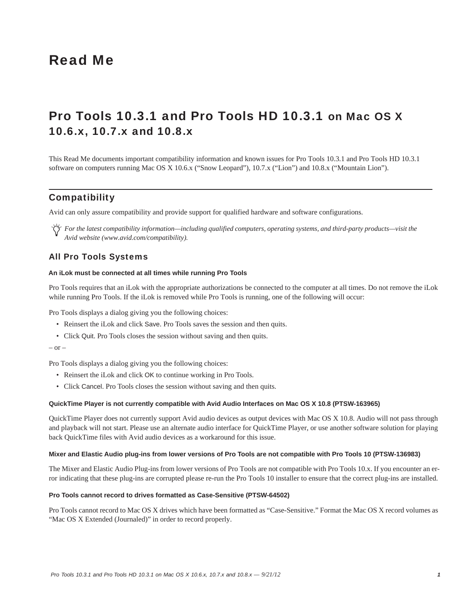# Read Me

# Pro Tools 10.3.1 and Pro Tools HD 10.3.1 on Mac OS X 10.6.x, 10.7.x and 10.8.x

This Read Me documents important compatibility information and known issues for Pro Tools 10.3.1 and Pro Tools HD 10.3.1 software on computers running Mac OS X 10.6.x ("Snow Leopard"), 10.7.x ("Lion") and 10.8.x ("Mountain Lion").

## **Compatibility**

Avid can only assure compatibility and provide support for qualified hardware and software configurations.

*For the latest compatibility information—including qualified computers, operating systems, and third-party products—visit the Avid website (www.avid.com/compatibility).*

## All Pro Tools Systems

#### **An iLok must be connected at all times while running Pro Tools**

Pro Tools requires that an iLok with the appropriate authorizations be connected to the computer at all times. Do not remove the iLok while running Pro Tools. If the iLok is removed while Pro Tools is running, one of the following will occur:

Pro Tools displays a dialog giving you the following choices:

- Reinsert the iLok and click Save. Pro Tools saves the session and then quits.
- Click Quit. Pro Tools closes the session without saving and then quits.

#### $-$  or  $-$

Pro Tools displays a dialog giving you the following choices:

- Reinsert the iLok and click OK to continue working in Pro Tools.
- Click Cancel. Pro Tools closes the session without saving and then quits.

#### **QuickTime Player is not currently compatible with Avid Audio Interfaces on Mac OS X 10.8 (PTSW-163965)**

QuickTime Player does not currently support Avid audio devices as output devices with Mac OS X 10.8. Audio will not pass through and playback will not start. Please use an alternate audio interface for QuickTime Player, or use another software solution for playing back QuickTime files with Avid audio devices as a workaround for this issue.

#### **Mixer and Elastic Audio plug-ins from lower versions of Pro Tools are not compatible with Pro Tools 10 (PTSW-136983)**

The Mixer and Elastic Audio Plug-ins from lower versions of Pro Tools are not compatible with Pro Tools 10.x. If you encounter an error indicating that these plug-ins are corrupted please re-run the Pro Tools 10 installer to ensure that the correct plug-ins are installed.

#### **Pro Tools cannot record to drives formatted as Case-Sensitive (PTSW-64502)**

Pro Tools cannot record to Mac OS X drives which have been formatted as "Case-Sensitive." Format the Mac OS X record volumes as "Mac OS X Extended (Journaled)" in order to record properly.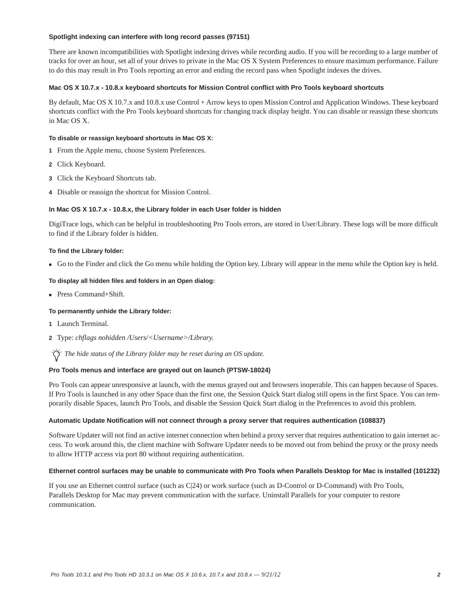### **Spotlight indexing can interfere with long record passes (97151)**

There are known incompatibilities with Spotlight indexing drives while recording audio. If you will be recording to a large number of tracks for over an hour, set all of your drives to private in the Mac OS X System Preferences to ensure maximum performance. Failure to do this may result in Pro Tools reporting an error and ending the record pass when Spotlight indexes the drives.

### **Mac OS X 10.7.x - 10.8.x keyboard shortcuts for Mission Control conflict with Pro Tools keyboard shortcuts**

By default, Mac OS X 10.7.x and 10.8.x use Control + Arrow keys to open Mission Control and Application Windows. These keyboard shortcuts conflict with the Pro Tools keyboard shortcuts for changing track display height. You can disable or reassign these shortcuts in Mac OS X.

#### **To disable or reassign keyboard shortcuts in Mac OS X:**

- **1** From the Apple menu, choose System Preferences.
- **2** Click Keyboard.
- **3** Click the Keyboard Shortcuts tab.
- **4** Disable or reassign the shortcut for Mission Control.

### **In Mac OS X 10.7.x - 10.8.x, the Library folder in each User folder is hidden**

DigiTrace logs, which can be helpful in troubleshooting Pro Tools errors, are stored in User/Library. These logs will be more difficult to find if the Library folder is hidden.

#### **To find the Library folder:**

Go to the Finder and click the Go menu while holding the Option key. Library will appear in the menu while the Option key is held.

## **To display all hidden files and folders in an Open dialog:**

Press Command+Shift.

#### **To permanently unhide the Library folder:**

- **1** Launch Terminal.
- **2** Type: *chflags nohidden /Users/<Username>/Library.*

*The hide status of the Library folder may be reset during an OS update.*

## **Pro Tools menus and interface are grayed out on launch (PTSW-18024)**

Pro Tools can appear unresponsive at launch, with the menus grayed out and browsers inoperable. This can happen because of Spaces. If Pro Tools is launched in any other Space than the first one, the Session Quick Start dialog still opens in the first Space. You can temporarily disable Spaces, launch Pro Tools, and disable the Session Quick Start dialog in the Preferences to avoid this problem.

#### **Automatic Update Notification will not connect through a proxy server that requires authentication (108837)**

Software Updater will not find an active internet connection when behind a proxy server that requires authentication to gain internet access. To work around this, the client machine with Software Updater needs to be moved out from behind the proxy or the proxy needs to allow HTTP access via port 80 without requiring authentication.

#### **Ethernet control surfaces may be unable to communicate with Pro Tools when Parallels Desktop for Mac is installed (101232)**

If you use an Ethernet control surface (such as C|24) or work surface (such as D-Control or D-Command) with Pro Tools, Parallels Desktop for Mac may prevent communication with the surface. Uninstall Parallels for your computer to restore communication.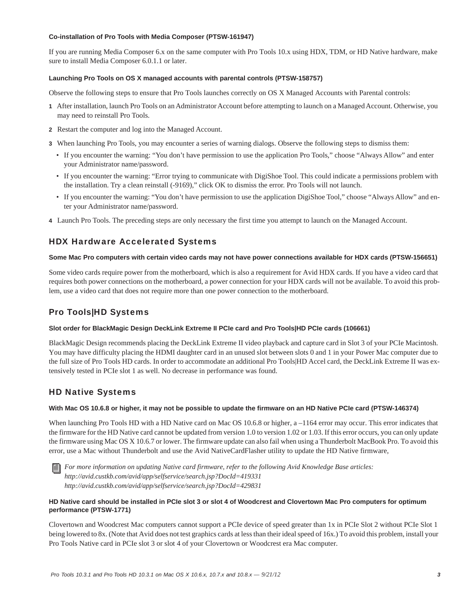## **Co-installation of Pro Tools with Media Composer (PTSW-161947)**

If you are running Media Composer 6.x on the same computer with Pro Tools 10.x using HDX, TDM, or HD Native hardware, make sure to install Media Composer 6.0.1.1 or later.

### **Launching Pro Tools on OS X managed accounts with parental controls (PTSW-158757)**

Observe the following steps to ensure that Pro Tools launches correctly on OS X Managed Accounts with Parental controls:

- **1** After installation, launch Pro Tools on an Administrator Account before attempting to launch on a Managed Account. Otherwise, you may need to reinstall Pro Tools.
- **2** Restart the computer and log into the Managed Account.
- **3** When launching Pro Tools, you may encounter a series of warning dialogs. Observe the following steps to dismiss them:
	- If you encounter the warning: "You don't have permission to use the application Pro Tools," choose "Always Allow" and enter your Administrator name/password.
	- If you encounter the warning: "Error trying to communicate with DigiShoe Tool. This could indicate a permissions problem with the installation. Try a clean reinstall (-9169)," click OK to dismiss the error. Pro Tools will not launch.
	- If you encounter the warning: "You don't have permission to use the application DigiShoe Tool," choose "Always Allow" and enter your Administrator name/password.
- **4** Launch Pro Tools. The preceding steps are only necessary the first time you attempt to launch on the Managed Account.

## HDX Hardware Accelerated Systems

#### **Some Mac Pro computers with certain video cards may not have power connections available for HDX cards (PTSW-156651)**

Some video cards require power from the motherboard, which is also a requirement for Avid HDX cards. If you have a video card that requires both power connections on the motherboard, a power connection for your HDX cards will not be available. To avoid this problem, use a video card that does not require more than one power connection to the motherboard.

## Pro Tools|HD Systems

#### **Slot order for BlackMagic Design DeckLink Extreme II PCIe card and Pro Tools|HD PCIe cards (106661)**

BlackMagic Design recommends placing the DeckLink Extreme II video playback and capture card in Slot 3 of your PCIe Macintosh. You may have difficulty placing the HDMI daughter card in an unused slot between slots 0 and 1 in your Power Mac computer due to the full size of Pro Tools HD cards. In order to accommodate an additional Pro Tools|HD Accel card, the DeckLink Extreme II was extensively tested in PCIe slot 1 as well. No decrease in performance was found.

## HD Native Systems

#### **With Mac OS 10.6.8 or higher, it may not be possible to update the firmware on an HD Native PCIe card (PTSW-146374)**

When launching Pro Tools HD with a HD Native card on Mac OS 10.6.8 or higher, a -1164 error may occur. This error indicates that the firmware for the HD Native card cannot be updated from version 1.0 to version 1.02 or 1.03. If this error occurs, you can only update the firmware using Mac OS X 10.6.7 or lower. The firmware update can also fail when using a Thunderbolt MacBook Pro. To avoid this error, use a Mac without Thunderbolt and use the Avid NativeCardFlasher utility to update the HD Native firmware,

*For more information on updating Native card firmware, refer to the following Avid Knowledge Base articles: http://avid.custkb.com/avid/app/selfservice/search.jsp?DocId=419331 http://avid.custkb.com/avid/app/selfservice/search.jsp?DocId=429831*

## **HD Native card should be installed in PCIe slot 3 or slot 4 of Woodcrest and Clovertown Mac Pro computers for optimum performance (PTSW-1771)**

Clovertown and Woodcrest Mac computers cannot support a PCIe device of speed greater than 1x in PCIe Slot 2 without PCIe Slot 1 being lowered to 8x. (Note that Avid does not test graphics cards at less than their ideal speed of 16x.) To avoid this problem, install your Pro Tools Native card in PCIe slot 3 or slot 4 of your Clovertown or Woodcrest era Mac computer.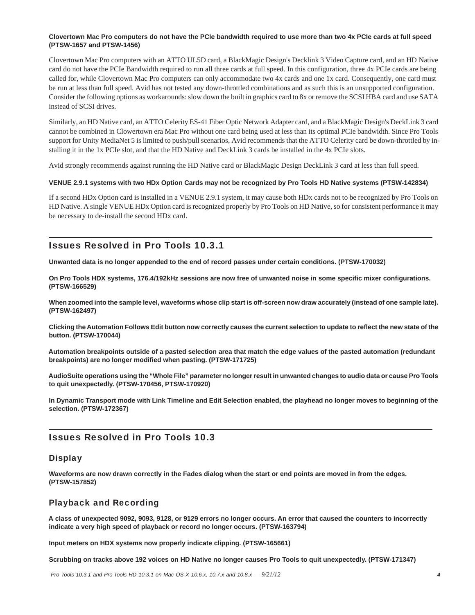## **Clovertown Mac Pro computers do not have the PCIe bandwidth required to use more than two 4x PCIe cards at full speed (PTSW-1657 and PTSW-1456)**

Clovertown Mac Pro computers with an ATTO UL5D card, a BlackMagic Design's Decklink 3 Video Capture card, and an HD Native card do not have the PCIe Bandwidth required to run all three cards at full speed. In this configuration, three 4x PCIe cards are being called for, while Clovertown Mac Pro computers can only accommodate two 4x cards and one 1x card. Consequently, one card must be run at less than full speed. Avid has not tested any down-throttled combinations and as such this is an unsupported configuration. Consider the following options as workarounds: slow down the built in graphics card to 8x or remove the SCSI HBA card and use SATA instead of SCSI drives.

Similarly, an HD Native card, an ATTO Celerity ES-41 Fiber Optic Network Adapter card, and a BlackMagic Design's DeckLink 3 card cannot be combined in Clowertown era Mac Pro without one card being used at less than its optimal PCIe bandwidth. Since Pro Tools support for Unity MediaNet 5 is limited to push/pull scenarios, Avid recommends that the ATTO Celerity card be down-throttled by installing it in the 1x PCIe slot, and that the HD Native and DeckLink 3 cards be installed in the 4x PCIe slots.

Avid strongly recommends against running the HD Native card or BlackMagic Design DeckLink 3 card at less than full speed.

### **VENUE 2.9.1 systems with two HDx Option Cards may not be recognized by Pro Tools HD Native systems (PTSW-142834)**

If a second HDx Option card is installed in a VENUE 2.9.1 system, it may cause both HDx cards not to be recognized by Pro Tools on HD Native. A single VENUE HDx Option card is recognized properly by Pro Tools on HD Native, so for consistent performance it may be necessary to de-install the second HDx card.

## Issues Resolved in Pro Tools 10.3.1

**Unwanted data is no longer appended to the end of record passes under certain conditions. (PTSW-170032)**

**On Pro Tools HDX systems, 176.4/192kHz sessions are now free of unwanted noise in some specific mixer configurations. (PTSW-166529)**

**When zoomed into the sample level, waveforms whose clip start is off-screen now draw accurately (instead of one sample late). (PTSW-162497)**

**Clicking the Automation Follows Edit button now correctly causes the current selection to update to reflect the new state of the button. (PTSW-170044)**

**Automation breakpoints outside of a pasted selection area that match the edge values of the pasted automation (redundant breakpoints) are no longer modified when pasting. (PTSW-171725)**

**AudioSuite operations using the "Whole File" parameter no longer result in unwanted changes to audio data or cause Pro Tools to quit unexpectedly. (PTSW-170456, PTSW-170920)**

**In Dynamic Transport mode with Link Timeline and Edit Selection enabled, the playhead no longer moves to beginning of the selection. (PTSW-172367)**

## Issues Resolved in Pro Tools 10.3

## **Display**

**Waveforms are now drawn correctly in the Fades dialog when the start or end points are moved in from the edges. (PTSW-157852)**

## Playback and Recording

**A class of unexpected 9092, 9093, 9128, or 9129 errors no longer occurs. An error that caused the counters to incorrectly indicate a very high speed of playback or record no longer occurs. (PTSW-163794)**

**Input meters on HDX systems now properly indicate clipping. (PTSW-165661)**

**Scrubbing on tracks above 192 voices on HD Native no longer causes Pro Tools to quit unexpectedly. (PTSW-171347)**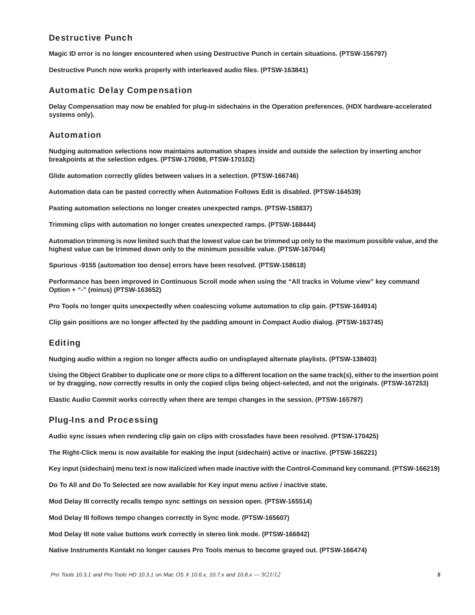## Destructive Punch

**Magic ID error is no longer encountered when using Destructive Punch in certain situations. (PTSW-156797)**

**Destructive Punch now works properly with interleaved audio files. (PTSW-163841)**

## Automatic Delay Compensation

**Delay Compensation may now be enabled for plug-in sidechains in the Operation preferences. (HDX hardware-accelerated systems only).**

## Automation

**Nudging automation selections now maintains automation shapes inside and outside the selection by inserting anchor breakpoints at the selection edges. (PTSW-170098, PTSW-170102)**

**Glide automation correctly glides between values in a selection. (PTSW-166746)**

**Automation data can be pasted correctly when Automation Follows Edit is disabled. (PTSW-164539)**

**Pasting automation selections no longer creates unexpected ramps. (PTSW-158837)**

**Trimming clips with automation no longer creates unexpected ramps. (PTSW-168444)**

**Automation trimming is now limited such that the lowest value can be trimmed up only to the maximum possible value, and the highest value can be trimmed down only to the minimum possible value. (PTSW-167044)**

**Spurious -9155 (automation too dense) errors have been resolved. (PTSW-158618)**

**Performance has been improved in Continuous Scroll mode when using the "All tracks in Volume view" key command Option + "-" (minus) (PTSW-163652)**

**Pro Tools no longer quits unexpectedly when coalescing volume automation to clip gain. (PTSW-164914)**

**Clip gain positions are no longer affected by the padding amount in Compact Audio dialog. (PTSW-163745)**

## Editing

**Nudging audio within a region no longer affects audio on undisplayed alternate playlists. (PTSW-138403)**

**Using the Object Grabber to duplicate one or more clips to a different location on the same track(s), either to the insertion point or by dragging, now correctly results in only the copied clips being object-selected, and not the originals. (PTSW-167253)**

**Elastic Audio Commit works correctly when there are tempo changes in the session. (PTSW-165797)**

## Plug-Ins and Processing

**Audio sync issues when rendering clip gain on clips with crossfades have been resolved. (PTSW-170425)**

**The Right-Click menu is now available for making the input (sidechain) active or inactive. (PTSW-166221)**

**Key input (sidechain) menu text is now italicized when made inactive with the Control-Command key command. (PTSW-166219)**

**Do To All and Do To Selected are now available for Key input menu active / inactive state.**

**Mod Delay III correctly recalls tempo sync settings on session open. (PTSW-165514)**

**Mod Delay III follows tempo changes correctly in Sync mode. (PTSW-165607)**

**Mod Delay III note value buttons work correctly in stereo link mode. (PTSW-166842)**

**Native Instruments Kontakt no longer causes Pro Tools menus to become grayed out. (PTSW-166474)**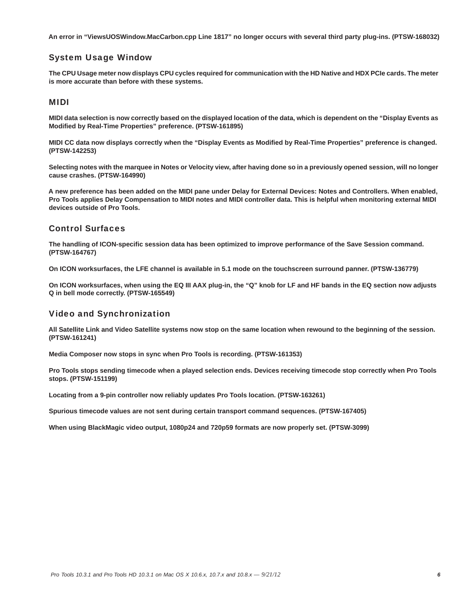**An error in "ViewsUOSWindow.MacCarbon.cpp Line 1817" no longer occurs with several third party plug-ins. (PTSW-168032)**

## System Usage Window

**The CPU Usage meter now displays CPU cycles required for communication with the HD Native and HDX PCIe cards. The meter is more accurate than before with these systems.** 

## MIDI

**MIDI data selection is now correctly based on the displayed location of the data, which is dependent on the "Display Events as Modified by Real-Time Properties" preference. (PTSW-161895)**

**MIDI CC data now displays correctly when the "Display Events as Modified by Real-Time Properties" preference is changed. (PTSW-142253)**

**Selecting notes with the marquee in Notes or Velocity view, after having done so in a previously opened session, will no longer cause crashes. (PTSW-164990)**

**A new preference has been added on the MIDI pane under Delay for External Devices: Notes and Controllers. When enabled, Pro Tools applies Delay Compensation to MIDI notes and MIDI controller data. This is helpful when monitoring external MIDI devices outside of Pro Tools.**

## Control Surfaces

**The handling of ICON-specific session data has been optimized to improve performance of the Save Session command. (PTSW-164767)**

**On ICON worksurfaces, the LFE channel is available in 5.1 mode on the touchscreen surround panner. (PTSW-136779)**

**On ICON worksurfaces, when using the EQ III AAX plug-in, the "Q" knob for LF and HF bands in the EQ section now adjusts Q in bell mode correctly. (PTSW-165549)**

## Video and Synchronization

**All Satellite Link and Video Satellite systems now stop on the same location when rewound to the beginning of the session. (PTSW-161241)**

**Media Composer now stops in sync when Pro Tools is recording. (PTSW-161353)**

**Pro Tools stops sending timecode when a played selection ends. Devices receiving timecode stop correctly when Pro Tools stops. (PTSW-151199)**

**Locating from a 9-pin controller now reliably updates Pro Tools location. (PTSW-163261)**

**Spurious timecode values are not sent during certain transport command sequences. (PTSW-167405)**

**When using BlackMagic video output, 1080p24 and 720p59 formats are now properly set. (PTSW-3099)**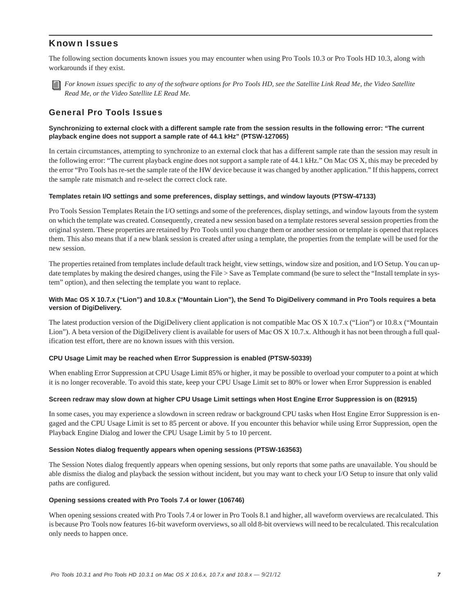## Known Issues

The following section documents known issues you may encounter when using Pro Tools 10.3 or Pro Tools HD 10.3, along with workarounds if they exist.



*For known issues specific to any of the software options for Pro Tools HD, see the Satellite Link Read Me, the Video Satellite Read Me, or the Video Satellite LE Read Me.*

## General Pro Tools Issues

## **Synchronizing to external clock with a different sample rate from the session results in the following error: "The current playback engine does not support a sample rate of 44.1 kHz" (PTSW-127065)**

In certain circumstances, attempting to synchronize to an external clock that has a different sample rate than the session may result in the following error: "The current playback engine does not support a sample rate of 44.1 kHz." On Mac OS X, this may be preceded by the error "Pro Tools has re-set the sample rate of the HW device because it was changed by another application." If this happens, correct the sample rate mismatch and re-select the correct clock rate.

### **Templates retain I/O settings and some preferences, display settings, and window layouts (PTSW-47133)**

Pro Tools Session Templates Retain the I/O settings and some of the preferences, display settings, and window layouts from the system on which the template was created. Consequently, created a new session based on a template restores several session properties from the original system. These properties are retained by Pro Tools until you change them or another session or template is opened that replaces them. This also means that if a new blank session is created after using a template, the properties from the template will be used for the new session.

The properties retained from templates include default track height, view settings, window size and position, and I/O Setup. You can update templates by making the desired changes, using the File > Save as Template command (be sure to select the "Install template in system" option), and then selecting the template you want to replace.

## **With Mac OS X 10.7.x ("Lion") and 10.8.x ("Mountain Lion"), the Send To DigiDelivery command in Pro Tools requires a beta version of DigiDelivery.**

The latest production version of the DigiDelivery client application is not compatible Mac OS X 10.7.x ("Lion") or 10.8.x ("Mountain Lion"). A beta version of the DigiDelivery client is available for users of Mac OS X 10.7.x. Although it has not been through a full qualification test effort, there are no known issues with this version.

## **CPU Usage Limit may be reached when Error Suppression is enabled (PTSW-50339)**

When enabling Error Suppression at CPU Usage Limit 85% or higher, it may be possible to overload your computer to a point at which it is no longer recoverable. To avoid this state, keep your CPU Usage Limit set to 80% or lower when Error Suppression is enabled

#### **Screen redraw may slow down at higher CPU Usage Limit settings when Host Engine Error Suppression is on (82915)**

In some cases, you may experience a slowdown in screen redraw or background CPU tasks when Host Engine Error Suppression is engaged and the CPU Usage Limit is set to 85 percent or above. If you encounter this behavior while using Error Suppression, open the Playback Engine Dialog and lower the CPU Usage Limit by 5 to 10 percent.

#### **Session Notes dialog frequently appears when opening sessions (PTSW-163563)**

The Session Notes dialog frequently appears when opening sessions, but only reports that some paths are unavailable. You should be able dismiss the dialog and playback the session without incident, but you may want to check your I/O Setup to insure that only valid paths are configured.

#### **Opening sessions created with Pro Tools 7.4 or lower (106746)**

When opening sessions created with Pro Tools 7.4 or lower in Pro Tools 8.1 and higher, all waveform overviews are recalculated. This is because Pro Tools now features 16-bit waveform overviews, so all old 8-bit overviews will need to be recalculated. This recalculation only needs to happen once.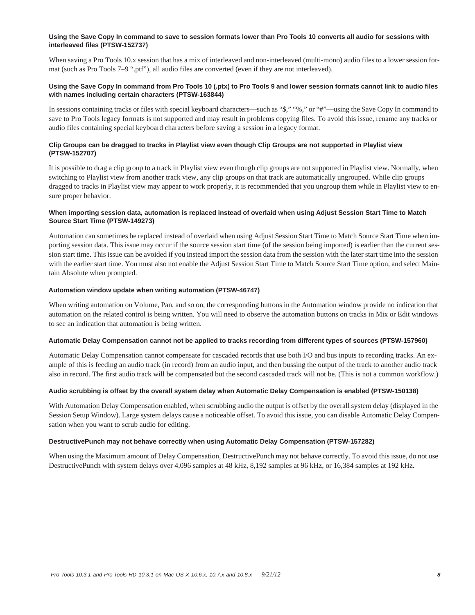## **Using the Save Copy In command to save to session formats lower than Pro Tools 10 converts all audio for sessions with interleaved files (PTSW-152737)**

When saving a Pro Tools 10.x session that has a mix of interleaved and non-interleaved (multi-mono) audio files to a lower session format (such as Pro Tools 7–9 ".ptf"), all audio files are converted (even if they are not interleaved).

## **Using the Save Copy In command from Pro Tools 10 (.ptx) to Pro Tools 9 and lower session formats cannot link to audio files with names including certain characters (PTSW-163844)**

In sessions containing tracks or files with special keyboard characters—such as "\$," "%," or "#"—using the Save Copy In command to save to Pro Tools legacy formats is not supported and may result in problems copying files. To avoid this issue, rename any tracks or audio files containing special keyboard characters before saving a session in a legacy format.

## **Clip Groups can be dragged to tracks in Playlist view even though Clip Groups are not supported in Playlist view (PTSW-152707)**

It is possible to drag a clip group to a track in Playlist view even though clip groups are not supported in Playlist view. Normally, when switching to Playlist view from another track view, any clip groups on that track are automatically ungrouped. While clip groups dragged to tracks in Playlist view may appear to work properly, it is recommended that you ungroup them while in Playlist view to ensure proper behavior.

## **When importing session data, automation is replaced instead of overlaid when using Adjust Session Start Time to Match Source Start Time (PTSW-149273)**

Automation can sometimes be replaced instead of overlaid when using Adjust Session Start Time to Match Source Start Time when importing session data. This issue may occur if the source session start time (of the session being imported) is earlier than the current session start time. This issue can be avoided if you instead import the session data from the session with the later start time into the session with the earlier start time. You must also not enable the Adjust Session Start Time to Match Source Start Time option, and select Maintain Absolute when prompted.

### **Automation window update when writing automation (PTSW-46747)**

When writing automation on Volume, Pan, and so on, the corresponding buttons in the Automation window provide no indication that automation on the related control is being written. You will need to observe the automation buttons on tracks in Mix or Edit windows to see an indication that automation is being written.

## **Automatic Delay Compensation cannot not be applied to tracks recording from different types of sources (PTSW-157960)**

Automatic Delay Compensation cannot compensate for cascaded records that use both I/O and bus inputs to recording tracks. An example of this is feeding an audio track (in record) from an audio input, and then bussing the output of the track to another audio track also in record. The first audio track will be compensated but the second cascaded track will not be. (This is not a common workflow.)

## **Audio scrubbing is offset by the overall system delay when Automatic Delay Compensation is enabled (PTSW-150138)**

With Automation Delay Compensation enabled, when scrubbing audio the output is offset by the overall system delay (displayed in the Session Setup Window). Large system delays cause a noticeable offset. To avoid this issue, you can disable Automatic Delay Compensation when you want to scrub audio for editing.

## **DestructivePunch may not behave correctly when using Automatic Delay Compensation (PTSW-157282)**

When using the Maximum amount of Delay Compensation, DestructivePunch may not behave correctly. To avoid this issue, do not use DestructivePunch with system delays over 4,096 samples at 48 kHz, 8,192 samples at 96 kHz, or 16,384 samples at 192 kHz.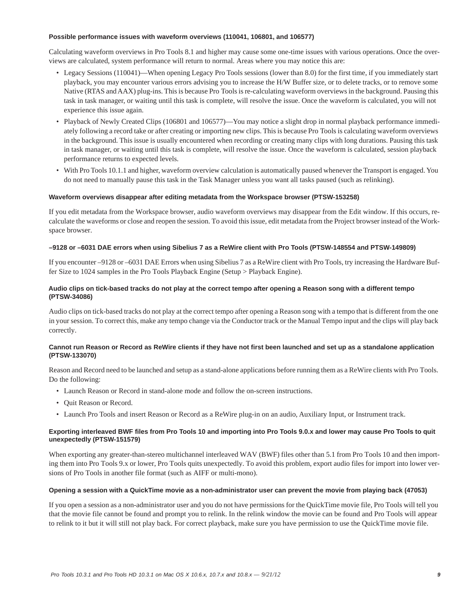#### **Possible performance issues with waveform overviews (110041, 106801, and 106577)**

Calculating waveform overviews in Pro Tools 8.1 and higher may cause some one-time issues with various operations. Once the overviews are calculated, system performance will return to normal. Areas where you may notice this are:

- Legacy Sessions (110041)—When opening Legacy Pro Tools sessions (lower than 8.0) for the first time, if you immediately start playback, you may encounter various errors advising you to increase the H/W Buffer size, or to delete tracks, or to remove some Native (RTAS and AAX) plug-ins. This is because Pro Tools is re-calculating waveform overviews in the background. Pausing this task in task manager, or waiting until this task is complete, will resolve the issue. Once the waveform is calculated, you will not experience this issue again.
- Playback of Newly Created Clips (106801 and 106577)—You may notice a slight drop in normal playback performance immediately following a record take or after creating or importing new clips. This is because Pro Tools is calculating waveform overviews in the background. This issue is usually encountered when recording or creating many clips with long durations. Pausing this task in task manager, or waiting until this task is complete, will resolve the issue. Once the waveform is calculated, session playback performance returns to expected levels.
- With Pro Tools 10.1.1 and higher, waveform overview calculation is automatically paused whenever the Transport is engaged. You do not need to manually pause this task in the Task Manager unless you want all tasks paused (such as relinking).

## **Waveform overviews disappear after editing metadata from the Workspace browser (PTSW-153258)**

If you edit metadata from the Workspace browser, audio waveform overviews may disappear from the Edit window. If this occurs, recalculate the waveforms or close and reopen the session. To avoid this issue, edit metadata from the Project browser instead of the Workspace browser.

### **–9128 or –6031 DAE errors when using Sibelius 7 as a ReWire client with Pro Tools (PTSW-148554 and PTSW-149809)**

If you encounter –9128 or –6031 DAE Errors when using Sibelius 7 as a ReWire client with Pro Tools, try increasing the Hardware Buffer Size to 1024 samples in the Pro Tools Playback Engine (Setup > Playback Engine).

## **Audio clips on tick-based tracks do not play at the correct tempo after opening a Reason song with a different tempo (PTSW-34086)**

Audio clips on tick-based tracks do not play at the correct tempo after opening a Reason song with a tempo that is different from the one in your session. To correct this, make any tempo change via the Conductor track or the Manual Tempo input and the clips will play back correctly.

### **Cannot run Reason or Record as ReWire clients if they have not first been launched and set up as a standalone application (PTSW-133070)**

Reason and Record need to be launched and setup as a stand-alone applications before running them as a ReWire clients with Pro Tools. Do the following:

- Launch Reason or Record in stand-alone mode and follow the on-screen instructions.
- Quit Reason or Record.
- Launch Pro Tools and insert Reason or Record as a ReWire plug-in on an audio, Auxiliary Input, or Instrument track.

## **Exporting interleaved BWF files from Pro Tools 10 and importing into Pro Tools 9.0.x and lower may cause Pro Tools to quit unexpectedly (PTSW-151579)**

When exporting any greater-than-stereo multichannel interleaved WAV (BWF) files other than 5.1 from Pro Tools 10 and then importing them into Pro Tools 9.x or lower, Pro Tools quits unexpectedly. To avoid this problem, export audio files for import into lower versions of Pro Tools in another file format (such as AIFF or multi-mono).

#### **Opening a session with a QuickTime movie as a non-administrator user can prevent the movie from playing back (47053)**

If you open a session as a non-administrator user and you do not have permissions for the QuickTime movie file, Pro Tools will tell you that the movie file cannot be found and prompt you to relink. In the relink window the movie can be found and Pro Tools will appear to relink to it but it will still not play back. For correct playback, make sure you have permission to use the QuickTime movie file.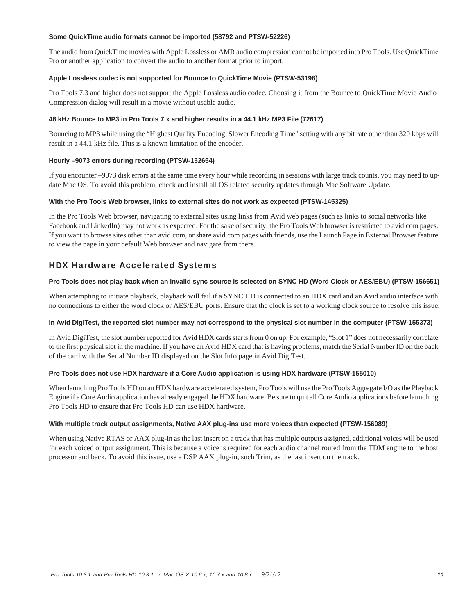### **Some QuickTime audio formats cannot be imported (58792 and PTSW-52226)**

The audio from QuickTime movies with Apple Lossless or AMR audio compression cannot be imported into Pro Tools. Use QuickTime Pro or another application to convert the audio to another format prior to import.

## **Apple Lossless codec is not supported for Bounce to QuickTime Movie (PTSW-53198)**

Pro Tools 7.3 and higher does not support the Apple Lossless audio codec. Choosing it from the Bounce to QuickTime Movie Audio Compression dialog will result in a movie without usable audio.

## **48 kHz Bounce to MP3 in Pro Tools 7.x and higher results in a 44.1 kHz MP3 File (72617)**

Bouncing to MP3 while using the "Highest Quality Encoding, Slower Encoding Time" setting with any bit rate other than 320 kbps will result in a 44.1 kHz file. This is a known limitation of the encoder.

## **Hourly –9073 errors during recording (PTSW-132654)**

If you encounter –9073 disk errors at the same time every hour while recording in sessions with large track counts, you may need to update Mac OS. To avoid this problem, check and install all OS related security updates through Mac Software Update.

### **With the Pro Tools Web browser, links to external sites do not work as expected (PTSW-145325)**

In the Pro Tools Web browser, navigating to external sites using links from Avid web pages (such as links to social networks like Facebook and LinkedIn) may not work as expected. For the sake of security, the Pro Tools Web browser is restricted to avid.com pages. If you want to browse sites other than avid.com, or share avid.com pages with friends, use the Launch Page in External Browser feature to view the page in your default Web browser and navigate from there.

## HDX Hardware Accelerated Systems

### **Pro Tools does not play back when an invalid sync source is selected on SYNC HD (Word Clock or AES/EBU) (PTSW-156651)**

When attempting to initiate playback, playback will fail if a SYNC HD is connected to an HDX card and an Avid audio interface with no connections to either the word clock or AES/EBU ports. Ensure that the clock is set to a working clock source to resolve this issue.

## **In Avid DigiTest, the reported slot number may not correspond to the physical slot number in the computer (PTSW-155373)**

In Avid DigiTest, the slot number reported for Avid HDX cards starts from 0 on up. For example, "Slot 1" does not necessarily correlate to the first physical slot in the machine. If you have an Avid HDX card that is having problems, match the Serial Number ID on the back of the card with the Serial Number ID displayed on the Slot Info page in Avid DigiTest.

## **Pro Tools does not use HDX hardware if a Core Audio application is using HDX hardware (PTSW-155010)**

When launching Pro Tools HD on an HDX hardware accelerated system, Pro Tools will use the Pro Tools Aggregate I/O as the Playback Engine if a Core Audio application has already engaged the HDX hardware. Be sure to quit all Core Audio applications before launching Pro Tools HD to ensure that Pro Tools HD can use HDX hardware.

#### **With multiple track output assignments, Native AAX plug-ins use more voices than expected (PTSW-156089)**

When using Native RTAS or AAX plug-in as the last insert on a track that has multiple outputs assigned, additional voices will be used for each voiced output assignment. This is because a voice is required for each audio channel routed from the TDM engine to the host processor and back. To avoid this issue, use a DSP AAX plug-in, such Trim, as the last insert on the track.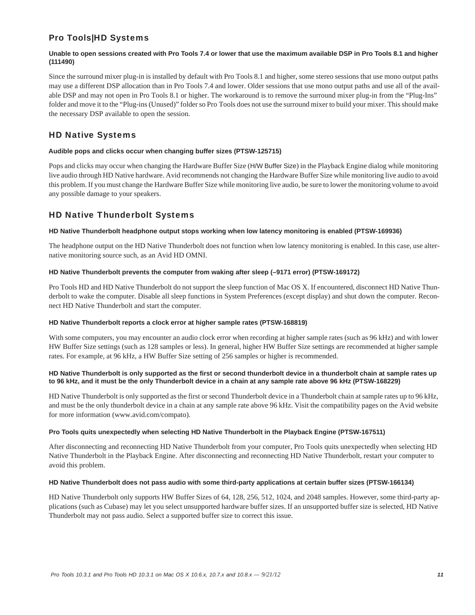## Pro Tools|HD Systems

## **Unable to open sessions created with Pro Tools 7.4 or lower that use the maximum available DSP in Pro Tools 8.1 and higher (111490)**

Since the surround mixer plug-in is installed by default with Pro Tools 8.1 and higher, some stereo sessions that use mono output paths may use a different DSP allocation than in Pro Tools 7.4 and lower. Older sessions that use mono output paths and use all of the available DSP and may not open in Pro Tools 8.1 or higher. The workaround is to remove the surround mixer plug-in from the "Plug-Ins" folder and move it to the "Plug-ins (Unused)" folder so Pro Tools does not use the surround mixer to build your mixer. This should make the necessary DSP available to open the session.

## HD Native Systems

## **Audible pops and clicks occur when changing buffer sizes (PTSW-125715)**

Pops and clicks may occur when changing the Hardware Buffer Size (H/W Buffer Size) in the Playback Engine dialog while monitoring live audio through HD Native hardware. Avid recommends not changing the Hardware Buffer Size while monitoring live audio to avoid this problem. If you must change the Hardware Buffer Size while monitoring live audio, be sure to lower the monitoring volume to avoid any possible damage to your speakers.

## HD Native Thunderbolt Systems

## **HD Native Thunderbolt headphone output stops working when low latency monitoring is enabled (PTSW-169936)**

The headphone output on the HD Native Thunderbolt does not function when low latency monitoring is enabled. In this case, use alternative monitoring source such, as an Avid HD OMNI.

## **HD Native Thunderbolt prevents the computer from waking after sleep (–9171 error) (PTSW-169172)**

Pro Tools HD and HD Native Thunderbolt do not support the sleep function of Mac OS X. If encountered, disconnect HD Native Thunderbolt to wake the computer. Disable all sleep functions in System Preferences (except display) and shut down the computer. Reconnect HD Native Thunderbolt and start the computer.

## **HD Native Thunderbolt reports a clock error at higher sample rates (PTSW-168819)**

With some computers, you may encounter an audio clock error when recording at higher sample rates (such as 96 kHz) and with lower HW Buffer Size settings (such as 128 samples or less). In general, higher HW Buffer Size settings are recommended at higher sample rates. For example, at 96 kHz, a HW Buffer Size setting of 256 samples or higher is recommended.

## **HD Native Thunderbolt is only supported as the first or second thunderbolt device in a thunderbolt chain at sample rates up to 96 kHz, and it must be the only Thunderbolt device in a chain at any sample rate above 96 kHz (PTSW-168229)**

HD Native Thunderbolt is only supported as the first or second Thunderbolt device in a Thunderbolt chain at sample rates up to 96 kHz, and must be the only thunderbolt device in a chain at any sample rate above 96 kHz. Visit the compatibility pages on the Avid website for more information (www.avid.com/compato).

## **Pro Tools quits unexpectedly when selecting HD Native Thunderbolt in the Playback Engine (PTSW-167511)**

After disconnecting and reconnecting HD Native Thunderbolt from your computer, Pro Tools quits unexpectedly when selecting HD Native Thunderbolt in the Playback Engine. After disconnecting and reconnecting HD Native Thunderbolt, restart your computer to avoid this problem.

## **HD Native Thunderbolt does not pass audio with some third-party applications at certain buffer sizes (PTSW-166134)**

HD Native Thunderbolt only supports HW Buffer Sizes of 64, 128, 256, 512, 1024, and 2048 samples. However, some third-party applications (such as Cubase) may let you select unsupported hardware buffer sizes. If an unsupported buffer size is selected, HD Native Thunderbolt may not pass audio. Select a supported buffer size to correct this issue.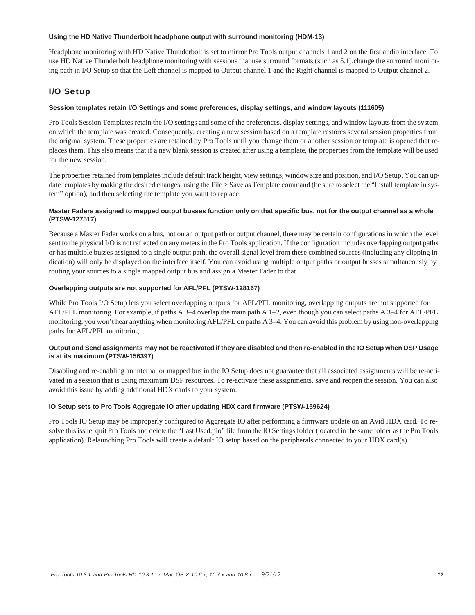### **Using the HD Native Thunderbolt headphone output with surround monitoring (HDM-13)**

Headphone monitoring with HD Native Thunderbolt is set to mirror Pro Tools output channels 1 and 2 on the first audio interface. To use HD Native Thunderbolt headphone monitoring with sessions that use surround formats (such as 5.1),change the surround monitoring path in I/O Setup so that the Left channel is mapped to Output channel 1 and the Right channel is mapped to Output channel 2.

## I/O Setup

## **Session templates retain I/O Settings and some preferences, display settings, and window layouts (111605)**

Pro Tools Session Templates retain the I/O settings and some of the preferences, display settings, and window layouts from the system on which the template was created. Consequently, creating a new session based on a template restores several session properties from the original system. These properties are retained by Pro Tools until you change them or another session or template is opened that replaces them. This also means that if a new blank session is created after using a template, the properties from the template will be used for the new session.

The properties retained from templates include default track height, view settings, window size and position, and I/O Setup. You can update templates by making the desired changes, using the File > Save as Template command (be sure to select the "Install template in system" option), and then selecting the template you want to replace.

## **Master Faders assigned to mapped output busses function only on that specific bus, not for the output channel as a whole (PTSW-127517)**

Because a Master Fader works on a bus, not on an output path or output channel, there may be certain configurations in which the level sent to the physical I/O is not reflected on any meters in the Pro Tools application. If the configuration includes overlapping output paths or has multiple busses assigned to a single output path, the overall signal level from these combined sources (including any clipping indication) will only be displayed on the interface itself. You can avoid using multiple output paths or output busses simultaneously by routing your sources to a single mapped output bus and assign a Master Fader to that.

### **Overlapping outputs are not supported for AFL/PFL (PTSW-128167)**

While Pro Tools I/O Setup lets you select overlapping outputs for AFL/PFL monitoring, overlapping outputs are not supported for AFL/PFL monitoring. For example, if paths A 3–4 overlap the main path A 1–2, even though you can select paths A 3–4 for AFL/PFL monitoring, you won't hear anything when monitoring AFL/PFL on paths A 3–4. You can avoid this problem by using non-overlapping paths for AFL/PFL monitoring.

## **Output and Send assignments may not be reactivated if they are disabled and then re-enabled in the IO Setup when DSP Usage is at its maximum (PTSW-156397)**

Disabling and re-enabling an internal or mapped bus in the IO Setup does not guarantee that all associated assignments will be re-activated in a session that is using maximum DSP resources. To re-activate these assignments, save and reopen the session. You can also avoid this issue by adding additional HDX cards to your system.

## **IO Setup sets to Pro Tools Aggregate IO after updating HDX card firmware (PTSW-159624)**

Pro Tools IO Setup may be improperly configured to Aggregate IO after performing a firmware update on an Avid HDX card. To resolve this issue, quit Pro Tools and delete the "Last Used.pio" file from the IO Settings folder (located in the same folder as the Pro Tools application). Relaunching Pro Tools will create a default IO setup based on the peripherals connected to your HDX card(s).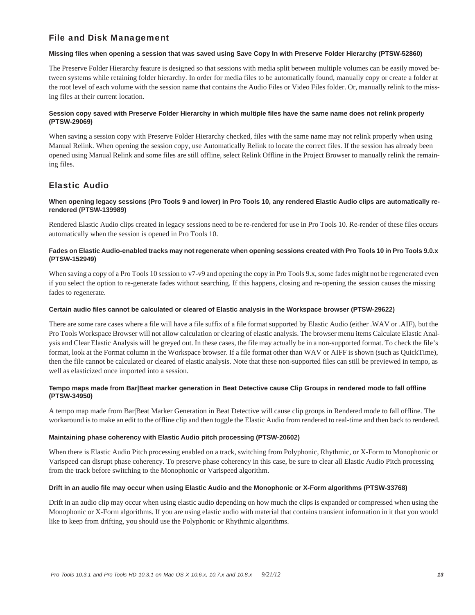## File and Disk Management

## **Missing files when opening a session that was saved using Save Copy In with Preserve Folder Hierarchy (PTSW-52860)**

The Preserve Folder Hierarchy feature is designed so that sessions with media split between multiple volumes can be easily moved between systems while retaining folder hierarchy. In order for media files to be automatically found, manually copy or create a folder at the root level of each volume with the session name that contains the Audio Files or Video Files folder. Or, manually relink to the missing files at their current location.

## **Session copy saved with Preserve Folder Hierarchy in which multiple files have the same name does not relink properly (PTSW-29069)**

When saving a session copy with Preserve Folder Hierarchy checked, files with the same name may not relink properly when using Manual Relink. When opening the session copy, use Automatically Relink to locate the correct files. If the session has already been opened using Manual Relink and some files are still offline, select Relink Offline in the Project Browser to manually relink the remaining files.

## Elastic Audio

## **When opening legacy sessions (Pro Tools 9 and lower) in Pro Tools 10, any rendered Elastic Audio clips are automatically rerendered (PTSW-139989)**

Rendered Elastic Audio clips created in legacy sessions need to be re-rendered for use in Pro Tools 10. Re-render of these files occurs automatically when the session is opened in Pro Tools 10.

## **Fades on Elastic Audio-enabled tracks may not regenerate when opening sessions created with Pro Tools 10 in Pro Tools 9.0.x (PTSW-152949)**

When saving a copy of a Pro Tools 10 session to v7-v9 and opening the copy in Pro Tools 9.x, some fades might not be regenerated even if you select the option to re-generate fades without searching. If this happens, closing and re-opening the session causes the missing fades to regenerate.

## **Certain audio files cannot be calculated or cleared of Elastic analysis in the Workspace browser (PTSW-29622)**

There are some rare cases where a file will have a file suffix of a file format supported by Elastic Audio (either .WAV or .AIF), but the Pro Tools Workspace Browser will not allow calculation or clearing of elastic analysis. The browser menu items Calculate Elastic Analysis and Clear Elastic Analysis will be greyed out. In these cases, the file may actually be in a non-supported format. To check the file's format, look at the Format column in the Workspace browser. If a file format other than WAV or AIFF is shown (such as QuickTime), then the file cannot be calculated or cleared of elastic analysis. Note that these non-supported files can still be previewed in tempo, as well as elasticized once imported into a session.

## **Tempo maps made from Bar|Beat marker generation in Beat Detective cause Clip Groups in rendered mode to fall offline (PTSW-34950)**

A tempo map made from Bar|Beat Marker Generation in Beat Detective will cause clip groups in Rendered mode to fall offline. The workaround is to make an edit to the offline clip and then toggle the Elastic Audio from rendered to real-time and then back to rendered.

## **Maintaining phase coherency with Elastic Audio pitch processing (PTSW-20602)**

When there is Elastic Audio Pitch processing enabled on a track, switching from Polyphonic, Rhythmic, or X-Form to Monophonic or Varispeed can disrupt phase coherency. To preserve phase coherency in this case, be sure to clear all Elastic Audio Pitch processing from the track before switching to the Monophonic or Varispeed algorithm.

## **Drift in an audio file may occur when using Elastic Audio and the Monophonic or X-Form algorithms (PTSW-33768)**

Drift in an audio clip may occur when using elastic audio depending on how much the clips is expanded or compressed when using the Monophonic or X-Form algorithms. If you are using elastic audio with material that contains transient information in it that you would like to keep from drifting, you should use the Polyphonic or Rhythmic algorithms.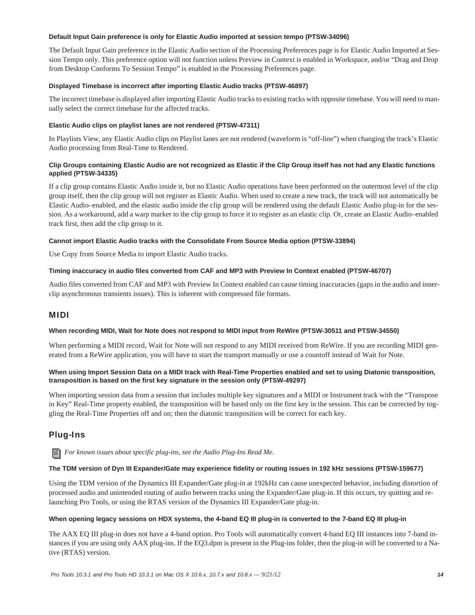## **Default Input Gain preference is only for Elastic Audio imported at session tempo (PTSW-34096)**

The Default Input Gain preference in the Elastic Audio section of the Processing Preferences page is for Elastic Audio Imported at Session Tempo only. This preference option will not function unless Preview in Context is enabled in Workspace, and/or "Drag and Drop from Desktop Conforms To Session Tempo" is enabled in the Processing Preferences page.

## **Displayed Timebase is incorrect after importing Elastic Audio tracks (PTSW-46897)**

The incorrect timebase is displayed after importing Elastic Audio tracks to existing tracks with opposite timebase. You will need to manually select the correct timebase for the affected tracks.

## **Elastic Audio clips on playlist lanes are not rendered (PTSW-47311)**

In Playlists View, any Elastic Audio clips on Playlist lanes are not rendered (waveform is "off-line") when changing the track's Elastic Audio processing from Real-Time to Rendered.

## **Clip Groups containing Elastic Audio are not recognized as Elastic if the Clip Group itself has not had any Elastic functions applied (PTSW-34335)**

If a clip group contains Elastic Audio inside it, but no Elastic Audio operations have been performed on the outermost level of the clip group itself, then the clip group will not register as Elastic Audio. When used to create a new track, the track will not automatically be Elastic Audio–enabled, and the elastic audio inside the clip group will be rendered using the default Elastic Audio plug-in for the session. As a workaround, add a warp marker to the clip group to force it to register as an elastic clip. Or, create an Elastic Audio–enabled track first, then add the clip group to it.

## **Cannot import Elastic Audio tracks with the Consolidate From Source Media option (PTSW-33894)**

Use Copy from Source Media to import Elastic Audio tracks.

## **Timing inaccuracy in audio files converted from CAF and MP3 with Preview In Context enabled (PTSW-46707)**

Audio files converted from CAF and MP3 with Preview In Context enabled can cause timing inaccuracies (gaps in the audio and innerclip asynchronous transients issues). This is inherent with compressed file formats.

## MIDI

#### **When recording MIDI, Wait for Note does not respond to MIDI input from ReWire (PTSW-30511 and PTSW-34550)**

When performing a MIDI record, Wait for Note will not respond to any MIDI received from ReWire. If you are recording MIDI generated from a ReWire application, you will have to start the transport manually or use a countoff instead of Wait for Note.

## **When using Import Session Data on a MIDI track with Real-Time Properties enabled and set to using Diatonic transposition, transposition is based on the first key signature in the session only (PTSW-49297)**

When importing session data from a session that includes multiple key signatures and a MIDI or Instrument track with the "Transpose in Key" Real-Time property enabled, the transposition will be based only on the first key in the session. This can be corrected by toggling the Real-Time Properties off and on; then the diatonic transposition will be correct for each key.

## Plug-Ins

*For known issues about specific plug-ins, see the Audio Plug-Ins Read Me.*

#### **The TDM version of Dyn III Expander/Gate may experience fidelity or routing issues in 192 kHz sessions (PTSW-159677)**

Using the TDM version of the Dynamics III Expander/Gate plug-in at 192kHz can cause unexpected behavior, including distortion of processed audio and unintended routing of audio between tracks using the Expander/Gate plug-in. If this occurs, try quitting and relaunching Pro Tools, or using the RTAS version of the Dynamics III Expander/Gate plug-in.

#### **When opening legacy sessions on HDX systems, the 4-band EQ III plug-in is converted to the 7-band EQ III plug-in**

The AAX EQ III plug-in does not have a 4-band option. Pro Tools will automatically convert 4-band EQ III instances into 7-band instances if you are using only AAX plug-ins. If the EQ3.dpm is present in the Plug-ins folder, then the plug-in will be converted to a Native (RTAS) version.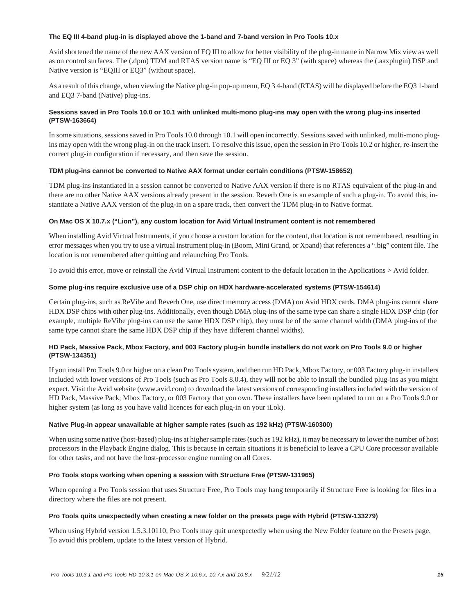### **The EQ III 4-band plug-in is displayed above the 1-band and 7-band version in Pro Tools 10.x**

Avid shortened the name of the new AAX version of EQ III to allow for better visibility of the plug-in name in Narrow Mix view as well as on control surfaces. The (.dpm) TDM and RTAS version name is "EQ III or EQ 3" (with space) whereas the (.aaxplugin) DSP and Native version is "EQIII or EQ3" (without space).

As a result of this change, when viewing the Native plug-in pop-up menu, EQ 3 4-band (RTAS) will be displayed before the EQ3 1-band and EQ3 7-band (Native) plug-ins.

## **Sessions saved in Pro Tools 10.0 or 10.1 with unlinked multi-mono plug-ins may open with the wrong plug-ins inserted (PTSW-163664)**

In some situations, sessions saved in Pro Tools 10.0 through 10.1 will open incorrectly. Sessions saved with unlinked, multi-mono plugins may open with the wrong plug-in on the track Insert. To resolve this issue, open the session in Pro Tools 10.2 or higher, re-insert the correct plug-in configuration if necessary, and then save the session.

## **TDM plug-ins cannot be converted to Native AAX format under certain conditions (PTSW-158652)**

TDM plug-ins instantiated in a session cannot be converted to Native AAX version if there is no RTAS equivalent of the plug-in and there are no other Native AAX versions already present in the session. Reverb One is an example of such a plug-in. To avoid this, instantiate a Native AAX version of the plug-in on a spare track, then convert the TDM plug-in to Native format.

### **On Mac OS X 10.7.x ("Lion"), any custom location for Avid Virtual Instrument content is not remembered**

When installing Avid Virtual Instruments, if you choose a custom location for the content, that location is not remembered, resulting in error messages when you try to use a virtual instrument plug-in (Boom, Mini Grand, or Xpand) that references a ".big" content file. The location is not remembered after quitting and relaunching Pro Tools.

To avoid this error, move or reinstall the Avid Virtual Instrument content to the default location in the Applications > Avid folder.

### **Some plug-ins require exclusive use of a DSP chip on HDX hardware-accelerated systems (PTSW-154614)**

Certain plug-ins, such as ReVibe and Reverb One, use direct memory access (DMA) on Avid HDX cards. DMA plug-ins cannot share HDX DSP chips with other plug-ins. Additionally, even though DMA plug-ins of the same type can share a single HDX DSP chip (for example, multiple ReVibe plug-ins can use the same HDX DSP chip), they must be of the same channel width (DMA plug-ins of the same type cannot share the same HDX DSP chip if they have different channel widths).

## **HD Pack, Massive Pack, Mbox Factory, and 003 Factory plug-in bundle installers do not work on Pro Tools 9.0 or higher (PTSW-134351)**

If you install Pro Tools 9.0 or higher on a clean Pro Tools system, and then run HD Pack, Mbox Factory, or 003 Factory plug-in installers included with lower versions of Pro Tools (such as Pro Tools 8.0.4), they will not be able to install the bundled plug-ins as you might expect. Visit the Avid website (www.avid.com) to download the latest versions of corresponding installers included with the version of HD Pack, Massive Pack, Mbox Factory, or 003 Factory that you own. These installers have been updated to run on a Pro Tools 9.0 or higher system (as long as you have valid licences for each plug-in on your iLok).

## **Native Plug-in appear unavailable at higher sample rates (such as 192 kHz) (PTSW-160300)**

When using some native (host-based) plug-ins at higher sample rates (such as 192 kHz), it may be necessary to lower the number of host processors in the Playback Engine dialog. This is because in certain situations it is beneficial to leave a CPU Core processor available for other tasks, and not have the host-processor engine running on all Cores.

## **Pro Tools stops working when opening a session with Structure Free (PTSW-131965)**

When opening a Pro Tools session that uses Structure Free, Pro Tools may hang temporarily if Structure Free is looking for files in a directory where the files are not present.

#### **Pro Tools quits unexpectedly when creating a new folder on the presets page with Hybrid (PTSW-133279)**

When using Hybrid version 1.5.3.10110, Pro Tools may quit unexpectedly when using the New Folder feature on the Presets page. To avoid this problem, update to the latest version of Hybrid.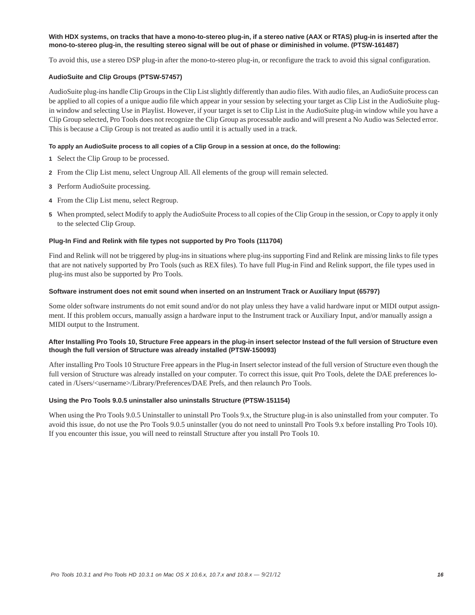## **With HDX systems, on tracks that have a mono-to-stereo plug-in, if a stereo native (AAX or RTAS) plug-in is inserted after the mono-to-stereo plug-in, the resulting stereo signal will be out of phase or diminished in volume. (PTSW-161487)**

To avoid this, use a stereo DSP plug-in after the mono-to-stereo plug-in, or reconfigure the track to avoid this signal configuration.

## **AudioSuite and Clip Groups (PTSW-57457)**

AudioSuite plug-ins handle Clip Groups in the Clip List slightly differently than audio files. With audio files, an AudioSuite process can be applied to all copies of a unique audio file which appear in your session by selecting your target as Clip List in the AudioSuite plugin window and selecting Use in Playlist. However, if your target is set to Clip List in the AudioSuite plug-in window while you have a Clip Group selected, Pro Tools does not recognize the Clip Group as processable audio and will present a No Audio was Selected error. This is because a Clip Group is not treated as audio until it is actually used in a track.

## **To apply an AudioSuite process to all copies of a Clip Group in a session at once, do the following:**

- **1** Select the Clip Group to be processed.
- **2** From the Clip List menu, select Ungroup All. All elements of the group will remain selected.
- **3** Perform AudioSuite processing.
- **4** From the Clip List menu, select Regroup.
- **5** When prompted, select Modify to apply the AudioSuite Process to all copies of the Clip Group in the session, or Copy to apply it only to the selected Clip Group.

### **Plug-In Find and Relink with file types not supported by Pro Tools (111704)**

Find and Relink will not be triggered by plug-ins in situations where plug-ins supporting Find and Relink are missing links to file types that are not natively supported by Pro Tools (such as REX files). To have full Plug-in Find and Relink support, the file types used in plug-ins must also be supported by Pro Tools.

#### **Software instrument does not emit sound when inserted on an Instrument Track or Auxiliary Input (65797)**

Some older software instruments do not emit sound and/or do not play unless they have a valid hardware input or MIDI output assignment. If this problem occurs, manually assign a hardware input to the Instrument track or Auxiliary Input, and/or manually assign a MIDI output to the Instrument.

### **After Installing Pro Tools 10, Structure Free appears in the plug-in insert selector Instead of the full version of Structure even though the full version of Structure was already installed (PTSW-150093)**

After installing Pro Tools 10 Structure Free appears in the Plug-in Insert selector instead of the full version of Structure even though the full version of Structure was already installed on your computer. To correct this issue, quit Pro Tools, delete the DAE preferences located in /Users/<username>/Library/Preferences/DAE Prefs, and then relaunch Pro Tools.

#### **Using the Pro Tools 9.0.5 uninstaller also uninstalls Structure (PTSW-151154)**

When using the Pro Tools 9.0.5 Uninstaller to uninstall Pro Tools 9.x, the Structure plug-in is also uninstalled from your computer. To avoid this issue, do not use the Pro Tools 9.0.5 uninstaller (you do not need to uninstall Pro Tools 9.x before installing Pro Tools 10). If you encounter this issue, you will need to reinstall Structure after you install Pro Tools 10.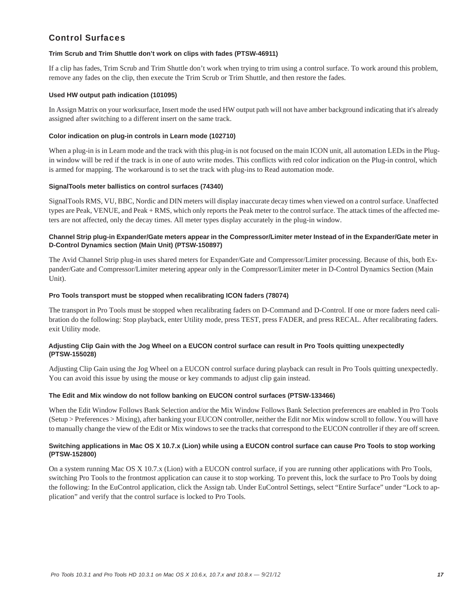## Control Surfaces

## **Trim Scrub and Trim Shuttle don't work on clips with fades (PTSW-46911)**

If a clip has fades, Trim Scrub and Trim Shuttle don't work when trying to trim using a control surface. To work around this problem, remove any fades on the clip, then execute the Trim Scrub or Trim Shuttle, and then restore the fades.

## **Used HW output path indication (101095)**

In Assign Matrix on your worksurface, Insert mode the used HW output path will not have amber background indicating that it's already assigned after switching to a different insert on the same track.

## **Color indication on plug-in controls in Learn mode (102710)**

When a plug-in is in Learn mode and the track with this plug-in is not focused on the main ICON unit, all automation LEDs in the Plugin window will be red if the track is in one of auto write modes. This conflicts with red color indication on the Plug-in control, which is armed for mapping. The workaround is to set the track with plug-ins to Read automation mode.

### **SignalTools meter ballistics on control surfaces (74340)**

SignalTools RMS, VU, BBC, Nordic and DIN meters will display inaccurate decay times when viewed on a control surface. Unaffected types are Peak, VENUE, and Peak + RMS, which only reports the Peak meter to the control surface. The attack times of the affected meters are not affected, only the decay times. All meter types display accurately in the plug-in window.

## **Channel Strip plug-in Expander/Gate meters appear in the Compressor/Limiter meter Instead of in the Expander/Gate meter in D-Control Dynamics section (Main Unit) (PTSW-150897)**

The Avid Channel Strip plug-in uses shared meters for Expander/Gate and Compressor/Limiter processing. Because of this, both Expander/Gate and Compressor/Limiter metering appear only in the Compressor/Limiter meter in D-Control Dynamics Section (Main Unit).

## **Pro Tools transport must be stopped when recalibrating ICON faders (78074)**

The transport in Pro Tools must be stopped when recalibrating faders on D-Command and D-Control. If one or more faders need calibration do the following: Stop playback, enter Utility mode, press TEST, press FADER, and press RECAL. After recalibrating faders. exit Utility mode.

## **Adjusting Clip Gain with the Jog Wheel on a EUCON control surface can result in Pro Tools quitting unexpectedly (PTSW-155028)**

Adjusting Clip Gain using the Jog Wheel on a EUCON control surface during playback can result in Pro Tools quitting unexpectedly. You can avoid this issue by using the mouse or key commands to adjust clip gain instead.

## **The Edit and Mix window do not follow banking on EUCON control surfaces (PTSW-133466)**

When the Edit Window Follows Bank Selection and/or the Mix Window Follows Bank Selection preferences are enabled in Pro Tools (Setup > Preferences > Mixing), after banking your EUCON controller, neither the Edit nor Mix window scroll to follow. You will have to manually change the view of the Edit or Mix windows to see the tracks that correspond to the EUCON controller if they are off screen.

## **Switching applications in Mac OS X 10.7.x (Lion) while using a EUCON control surface can cause Pro Tools to stop working (PTSW-152800)**

On a system running Mac OS X 10.7.x (Lion) with a EUCON control surface, if you are running other applications with Pro Tools, switching Pro Tools to the frontmost application can cause it to stop working. To prevent this, lock the surface to Pro Tools by doing the following: In the EuControl application, click the Assign tab. Under EuControl Settings, select "Entire Surface" under "Lock to application" and verify that the control surface is locked to Pro Tools.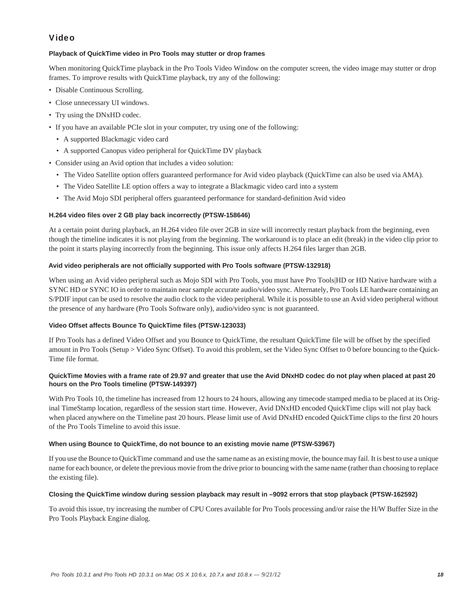## Video

## **Playback of QuickTime video in Pro Tools may stutter or drop frames**

When monitoring QuickTime playback in the Pro Tools Video Window on the computer screen, the video image may stutter or drop frames. To improve results with QuickTime playback, try any of the following:

- Disable Continuous Scrolling.
- Close unnecessary UI windows.
- Try using the DNxHD codec.
- If you have an available PCIe slot in your computer, try using one of the following:
	- A supported Blackmagic video card
	- A supported Canopus video peripheral for QuickTime DV playback
- Consider using an Avid option that includes a video solution:
	- The Video Satellite option offers guaranteed performance for Avid video playback (QuickTime can also be used via AMA).
	- The Video Satellite LE option offers a way to integrate a Blackmagic video card into a system
	- The Avid Mojo SDI peripheral offers guaranteed performance for standard-definition Avid video

## **H.264 video files over 2 GB play back incorrectly (PTSW-158646)**

At a certain point during playback, an H.264 video file over 2GB in size will incorrectly restart playback from the beginning, even though the timeline indicates it is not playing from the beginning. The workaround is to place an edit (break) in the video clip prior to the point it starts playing incorrectly from the beginning. This issue only affects H.264 files larger than 2GB.

## **Avid video peripherals are not officially supported with Pro Tools software (PTSW-132918)**

When using an Avid video peripheral such as Mojo SDI with Pro Tools, you must have Pro Tools|HD or HD Native hardware with a SYNC HD or SYNC IO in order to maintain near sample accurate audio/video sync. Alternately, Pro Tools LE hardware containing an S/PDIF input can be used to resolve the audio clock to the video peripheral. While it is possible to use an Avid video peripheral without the presence of any hardware (Pro Tools Software only), audio/video sync is not guaranteed.

## **Video Offset affects Bounce To QuickTime files (PTSW-123033)**

If Pro Tools has a defined Video Offset and you Bounce to QuickTime, the resultant QuickTime file will be offset by the specified amount in Pro Tools (Setup > Video Sync Offset). To avoid this problem, set the Video Sync Offset to 0 before bouncing to the Quick-Time file format.

## **QuickTime Movies with a frame rate of 29.97 and greater that use the Avid DNxHD codec do not play when placed at past 20 hours on the Pro Tools timeline (PTSW-149397)**

With Pro Tools 10, the timeline has increased from 12 hours to 24 hours, allowing any timecode stamped media to be placed at its Original TimeStamp location, regardless of the session start time. However, Avid DNxHD encoded QuickTime clips will not play back when placed anywhere on the Timeline past 20 hours. Please limit use of Avid DNxHD encoded QuickTime clips to the first 20 hours of the Pro Tools Timeline to avoid this issue.

## **When using Bounce to QuickTime, do not bounce to an existing movie name (PTSW-53967)**

If you use the Bounce to QuickTime command and use the same name as an existing movie, the bounce may fail. It is best to use a unique name for each bounce, or delete the previous movie from the drive prior to bouncing with the same name (rather than choosing to replace the existing file).

## **Closing the QuickTime window during session playback may result in –9092 errors that stop playback (PTSW-162592)**

To avoid this issue, try increasing the number of CPU Cores available for Pro Tools processing and/or raise the H/W Buffer Size in the Pro Tools Playback Engine dialog.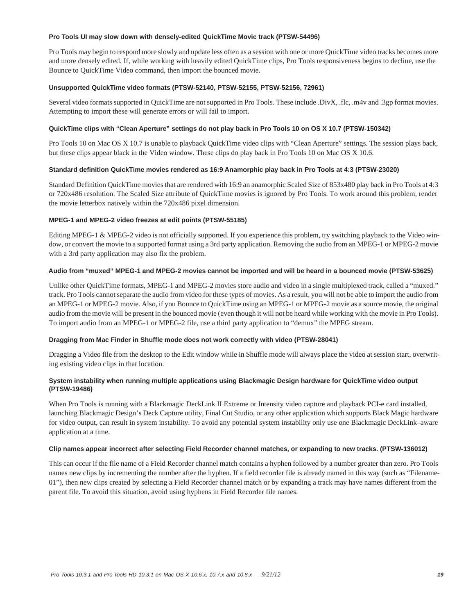#### **Pro Tools UI may slow down with densely-edited QuickTime Movie track (PTSW-54496)**

Pro Tools may begin to respond more slowly and update less often as a session with one or more QuickTime video tracks becomes more and more densely edited. If, while working with heavily edited QuickTime clips, Pro Tools responsiveness begins to decline, use the Bounce to QuickTime Video command, then import the bounced movie.

## **Unsupported QuickTime video formats (PTSW-52140, PTSW-52155, PTSW-52156, 72961)**

Several video formats supported in QuickTime are not supported in Pro Tools. These include .DivX, .flc, .m4v and .3gp format movies. Attempting to import these will generate errors or will fail to import.

## **QuickTime clips with "Clean Aperture" settings do not play back in Pro Tools 10 on OS X 10.7 (PTSW-150342)**

Pro Tools 10 on Mac OS X 10.7 is unable to playback QuickTime video clips with "Clean Aperture" settings. The session plays back, but these clips appear black in the Video window. These clips do play back in Pro Tools 10 on Mac OS X 10.6.

### **Standard definition QuickTime movies rendered as 16:9 Anamorphic play back in Pro Tools at 4:3 (PTSW-23020)**

Standard Definition QuickTime movies that are rendered with 16:9 an anamorphic Scaled Size of 853x480 play back in Pro Tools at 4:3 or 720x486 resolution. The Scaled Size attribute of QuickTime movies is ignored by Pro Tools. To work around this problem, render the movie letterbox natively within the 720x486 pixel dimension.

### **MPEG-1 and MPEG-2 video freezes at edit points (PTSW-55185)**

Editing MPEG-1 & MPEG-2 video is not officially supported. If you experience this problem, try switching playback to the Video window, or convert the movie to a supported format using a 3rd party application. Removing the audio from an MPEG-1 or MPEG-2 movie with a 3rd party application may also fix the problem.

### **Audio from "muxed" MPEG-1 and MPEG-2 movies cannot be imported and will be heard in a bounced movie (PTSW-53625)**

Unlike other QuickTime formats, MPEG-1 and MPEG-2 movies store audio and video in a single multiplexed track, called a "muxed." track. Pro Tools cannot separate the audio from video for these types of movies. As a result, you will not be able to import the audio from an MPEG-1 or MPEG-2 movie. Also, if you Bounce to QuickTime using an MPEG-1 or MPEG-2 movie as a source movie, the original audio from the movie will be present in the bounced movie (even though it will not be heard while working with the movie in Pro Tools). To import audio from an MPEG-1 or MPEG-2 file, use a third party application to "demux" the MPEG stream.

## **Dragging from Mac Finder in Shuffle mode does not work correctly with video (PTSW-28041)**

Dragging a Video file from the desktop to the Edit window while in Shuffle mode will always place the video at session start, overwriting existing video clips in that location.

## **System instability when running multiple applications using Blackmagic Design hardware for QuickTime video output (PTSW-19486)**

When Pro Tools is running with a Blackmagic DeckLink II Extreme or Intensity video capture and playback PCI-e card installed, launching Blackmagic Design's Deck Capture utility, Final Cut Studio, or any other application which supports Black Magic hardware for video output, can result in system instability. To avoid any potential system instability only use one Blackmagic DeckLink–aware application at a time.

#### **Clip names appear incorrect after selecting Field Recorder channel matches, or expanding to new tracks. (PTSW-136012)**

This can occur if the file name of a Field Recorder channel match contains a hyphen followed by a number greater than zero. Pro Tools names new clips by incrementing the number after the hyphen. If a field recorder file is already named in this way (such as "Filename-01"), then new clips created by selecting a Field Recorder channel match or by expanding a track may have names different from the parent file. To avoid this situation, avoid using hyphens in Field Recorder file names.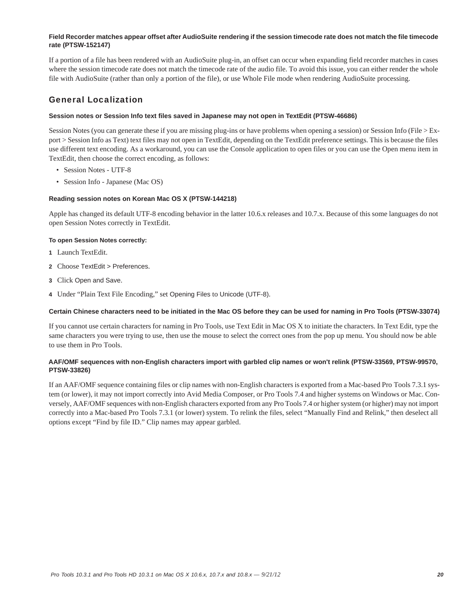## **Field Recorder matches appear offset after AudioSuite rendering if the session timecode rate does not match the file timecode rate (PTSW-152147)**

If a portion of a file has been rendered with an AudioSuite plug-in, an offset can occur when expanding field recorder matches in cases where the session timecode rate does not match the timecode rate of the audio file. To avoid this issue, you can either render the whole file with AudioSuite (rather than only a portion of the file), or use Whole File mode when rendering AudioSuite processing.

## General Localization

## **Session notes or Session Info text files saved in Japanese may not open in TextEdit (PTSW-46686)**

Session Notes (you can generate these if you are missing plug-ins or have problems when opening a session) or Session Info (File > Export > Session Info as Text) text files may not open in TextEdit, depending on the TextEdit preference settings. This is because the files use different text encoding. As a workaround, you can use the Console application to open files or you can use the Open menu item in TextEdit, then choose the correct encoding, as follows:

- Session Notes UTF-8
- Session Info Japanese (Mac OS)

## **Reading session notes on Korean Mac OS X (PTSW-144218)**

Apple has changed its default UTF-8 encoding behavior in the latter 10.6.x releases and 10.7.x. Because of this some languages do not open Session Notes correctly in TextEdit.

## **To open Session Notes correctly:**

- **1** Launch TextEdit.
- **2** Choose TextEdit > Preferences.
- **3** Click Open and Save.
- **4** Under "Plain Text File Encoding," set Opening Files to Unicode (UTF-8).

## **Certain Chinese characters need to be initiated in the Mac OS before they can be used for naming in Pro Tools (PTSW-33074)**

If you cannot use certain characters for naming in Pro Tools, use Text Edit in Mac OS X to initiate the characters. In Text Edit, type the same characters you were trying to use, then use the mouse to select the correct ones from the pop up menu. You should now be able to use them in Pro Tools.

### **AAF/OMF sequences with non-English characters import with garbled clip names or won't relink (PTSW-33569, PTSW-99570, PTSW-33826)**

If an AAF/OMF sequence containing files or clip names with non-English characters is exported from a Mac-based Pro Tools 7.3.1 system (or lower), it may not import correctly into Avid Media Composer, or Pro Tools 7.4 and higher systems on Windows or Mac. Conversely, AAF/OMF sequences with non-English characters exported from any Pro Tools 7.4 or higher system (or higher) may not import correctly into a Mac-based Pro Tools 7.3.1 (or lower) system. To relink the files, select "Manually Find and Relink," then deselect all options except "Find by file ID." Clip names may appear garbled.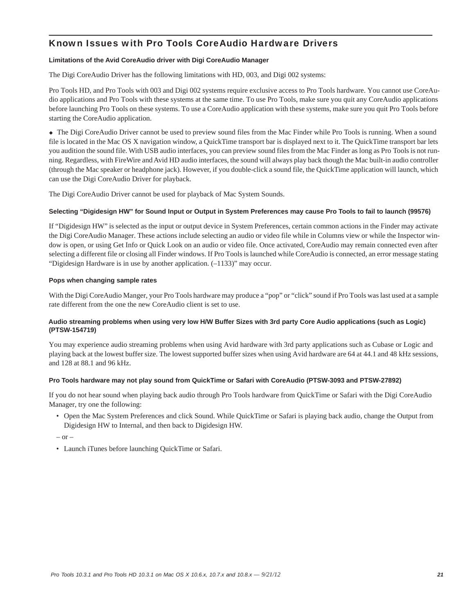## Known Issues with Pro Tools CoreAudio Hardware Drivers

## **Limitations of the Avid CoreAudio driver with Digi CoreAudio Manager**

The Digi CoreAudio Driver has the following limitations with HD, 003, and Digi 002 systems:

Pro Tools HD, and Pro Tools with 003 and Digi 002 systems require exclusive access to Pro Tools hardware. You cannot use CoreAudio applications and Pro Tools with these systems at the same time. To use Pro Tools, make sure you quit any CoreAudio applications before launching Pro Tools on these systems. To use a CoreAudio application with these systems, make sure you quit Pro Tools before starting the CoreAudio application.

 The Digi CoreAudio Driver cannot be used to preview sound files from the Mac Finder while Pro Tools is running. When a sound file is located in the Mac OS X navigation window, a QuickTime transport bar is displayed next to it. The QuickTime transport bar lets you audition the sound file. With USB audio interfaces, you can preview sound files from the Mac Finder as long as Pro Tools is not running. Regardless, with FireWire and Avid HD audio interfaces, the sound will always play back though the Mac built-in audio controller (through the Mac speaker or headphone jack). However, if you double-click a sound file, the QuickTime application will launch, which can use the Digi CoreAudio Driver for playback.

The Digi CoreAudio Driver cannot be used for playback of Mac System Sounds.

## **Selecting "Digidesign HW" for Sound Input or Output in System Preferences may cause Pro Tools to fail to launch (99576)**

If "Digidesign HW" is selected as the input or output device in System Preferences, certain common actions in the Finder may activate the Digi CoreAudio Manager. These actions include selecting an audio or video file while in Columns view or while the Inspector window is open, or using Get Info or Quick Look on an audio or video file. Once activated, CoreAudio may remain connected even after selecting a different file or closing all Finder windows. If Pro Tools is launched while CoreAudio is connected, an error message stating "Digidesign Hardware is in use by another application. (–1133)" may occur.

## **Pops when changing sample rates**

With the Digi CoreAudio Manger, your Pro Tools hardware may produce a "pop" or "click" sound if Pro Tools was last used at a sample rate different from the one the new CoreAudio client is set to use.

## **Audio streaming problems when using very low H/W Buffer Sizes with 3rd party Core Audio applications (such as Logic) (PTSW-154719)**

You may experience audio streaming problems when using Avid hardware with 3rd party applications such as Cubase or Logic and playing back at the lowest buffer size. The lowest supported buffer sizes when using Avid hardware are 64 at 44.1 and 48 kHz sessions, and 128 at 88.1 and 96 kHz.

## **Pro Tools hardware may not play sound from QuickTime or Safari with CoreAudio (PTSW-3093 and PTSW-27892)**

If you do not hear sound when playing back audio through Pro Tools hardware from QuickTime or Safari with the Digi CoreAudio Manager, try one the following:

• Open the Mac System Preferences and click Sound. While QuickTime or Safari is playing back audio, change the Output from Digidesign HW to Internal, and then back to Digidesign HW.

 $-$  or  $-$ 

• Launch iTunes before launching QuickTime or Safari.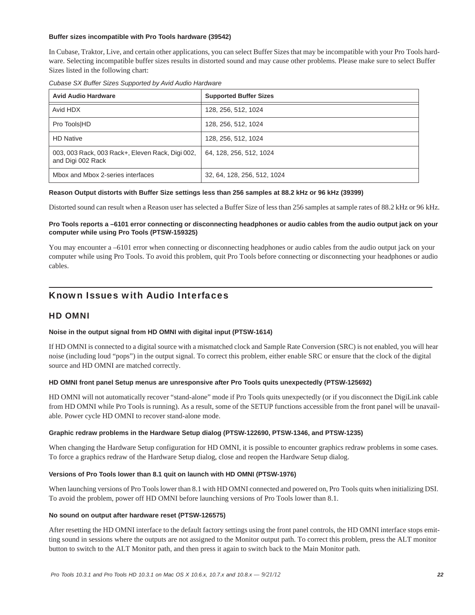## **Buffer sizes incompatible with Pro Tools hardware (39542)**

In Cubase, Traktor, Live, and certain other applications, you can select Buffer Sizes that may be incompatible with your Pro Tools hardware. Selecting incompatible buffer sizes results in distorted sound and may cause other problems. Please make sure to select Buffer Sizes listed in the following chart:

|  | Cubase SX Buffer Sizes Supported by Avid Audio Hardware |  |  |
|--|---------------------------------------------------------|--|--|
|  |                                                         |  |  |

| <b>Avid Audio Hardware</b>                                            | <b>Supported Buffer Sizes</b> |  |
|-----------------------------------------------------------------------|-------------------------------|--|
| Avid HDX                                                              | 128, 256, 512, 1024           |  |
| Pro Tools HD                                                          | 128, 256, 512, 1024           |  |
| <b>HD Native</b>                                                      | 128, 256, 512, 1024           |  |
| 003, 003 Rack, 003 Rack+, Eleven Rack, Digi 002,<br>and Digi 002 Rack | 64, 128, 256, 512, 1024       |  |
| Mbox and Mbox 2-series interfaces                                     | 32, 64, 128, 256, 512, 1024   |  |

#### **Reason Output distorts with Buffer Size settings less than 256 samples at 88.2 kHz or 96 kHz (39399)**

Distorted sound can result when a Reason user has selected a Buffer Size of less than 256 samples at sample rates of 88.2 kHz or 96 kHz.

## **Pro Tools reports a –6101 error connecting or disconnecting headphones or audio cables from the audio output jack on your computer while using Pro Tools (PTSW-159325)**

You may encounter a –6101 error when connecting or disconnecting headphones or audio cables from the audio output jack on your computer while using Pro Tools. To avoid this problem, quit Pro Tools before connecting or disconnecting your headphones or audio cables.

## Known Issues with Audio Interfaces

## HD OMNI

## **Noise in the output signal from HD OMNI with digital input (PTSW-1614)**

If HD OMNI is connected to a digital source with a mismatched clock and Sample Rate Conversion (SRC) is not enabled, you will hear noise (including loud "pops") in the output signal. To correct this problem, either enable SRC or ensure that the clock of the digital source and HD OMNI are matched correctly.

## **HD OMNI front panel Setup menus are unresponsive after Pro Tools quits unexpectedly (PTSW-125692)**

HD OMNI will not automatically recover "stand-alone" mode if Pro Tools quits unexpectedly (or if you disconnect the DigiLink cable from HD OMNI while Pro Tools is running). As a result, some of the SETUP functions accessible from the front panel will be unavailable. Power cycle HD OMNI to recover stand-alone mode.

## **Graphic redraw problems in the Hardware Setup dialog (PTSW-122690, PTSW-1346, and PTSW-1235)**

When changing the Hardware Setup configuration for HD OMNI, it is possible to encounter graphics redraw problems in some cases. To force a graphics redraw of the Hardware Setup dialog, close and reopen the Hardware Setup dialog.

## **Versions of Pro Tools lower than 8.1 quit on launch with HD OMNI (PTSW-1976)**

When launching versions of Pro Tools lower than 8.1 with HD OMNI connected and powered on, Pro Tools quits when initializing DSI. To avoid the problem, power off HD OMNI before launching versions of Pro Tools lower than 8.1.

#### **No sound on output after hardware reset (PTSW-126575)**

After resetting the HD OMNI interface to the default factory settings using the front panel controls, the HD OMNI interface stops emitting sound in sessions where the outputs are not assigned to the Monitor output path. To correct this problem, press the ALT monitor button to switch to the ALT Monitor path, and then press it again to switch back to the Main Monitor path.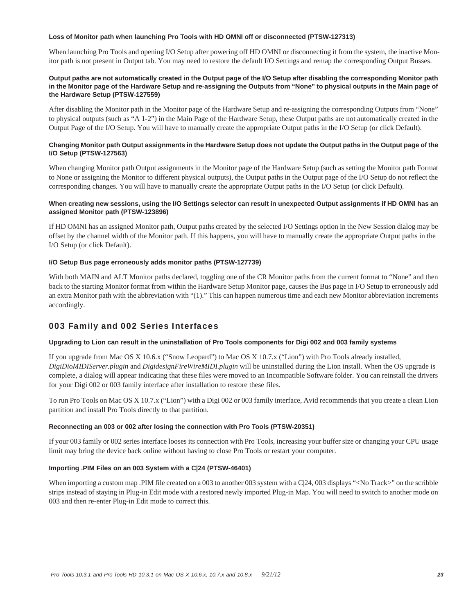### **Loss of Monitor path when launching Pro Tools with HD OMNI off or disconnected (PTSW-127313)**

When launching Pro Tools and opening I/O Setup after powering off HD OMNI or disconnecting it from the system, the inactive Monitor path is not present in Output tab. You may need to restore the default I/O Settings and remap the corresponding Output Busses.

## **Output paths are not automatically created in the Output page of the I/O Setup after disabling the corresponding Monitor path in the Monitor page of the Hardware Setup and re-assigning the Outputs from "None" to physical outputs in the Main page of the Hardware Setup (PTSW-127559)**

After disabling the Monitor path in the Monitor page of the Hardware Setup and re-assigning the corresponding Outputs from "None" to physical outputs (such as "A 1-2") in the Main Page of the Hardware Setup, these Output paths are not automatically created in the Output Page of the I/O Setup. You will have to manually create the appropriate Output paths in the I/O Setup (or click Default).

## **Changing Monitor path Output assignments in the Hardware Setup does not update the Output paths in the Output page of the I/O Setup (PTSW-127563)**

When changing Monitor path Output assignments in the Monitor page of the Hardware Setup (such as setting the Monitor path Format to None or assigning the Monitor to different physical outputs), the Output paths in the Output page of the I/O Setup do not reflect the corresponding changes. You will have to manually create the appropriate Output paths in the I/O Setup (or click Default).

## **When creating new sessions, using the I/O Settings selector can result in unexpected Output assignments if HD OMNI has an assigned Monitor path (PTSW-123896)**

If HD OMNI has an assigned Monitor path, Output paths created by the selected I/O Settings option in the New Session dialog may be offset by the channel width of the Monitor path. If this happens, you will have to manually create the appropriate Output paths in the I/O Setup (or click Default).

## **I/O Setup Bus page erroneously adds monitor paths (PTSW-127739)**

With both MAIN and ALT Monitor paths declared, toggling one of the CR Monitor paths from the current format to "None" and then back to the starting Monitor format from within the Hardware Setup Monitor page, causes the Bus page in I/O Setup to erroneously add an extra Monitor path with the abbreviation with "(1)." This can happen numerous time and each new Monitor abbreviation increments accordingly.

## 003 Family and 002 Series Interfaces

## **Upgrading to Lion can result in the uninstallation of Pro Tools components for Digi 002 and 003 family systems**

If you upgrade from Mac OS X 10.6.x ("Snow Leopard") to Mac OS X 10.7.x ("Lion") with Pro Tools already installed, *DigiDioMIDIServer.plugin* and *DigidesignFireWireMIDI.plugin* will be uninstalled during the Lion install. When the OS upgrade is complete, a dialog will appear indicating that these files were moved to an Incompatible Software folder. You can reinstall the drivers for your Digi 002 or 003 family interface after installation to restore these files.

To run Pro Tools on Mac OS X 10.7.x ("Lion") with a Digi 002 or 003 family interface, Avid recommends that you create a clean Lion partition and install Pro Tools directly to that partition.

## **Reconnecting an 003 or 002 after losing the connection with Pro Tools (PTSW-20351)**

If your 003 family or 002 series interface looses its connection with Pro Tools, increasing your buffer size or changing your CPU usage limit may bring the device back online without having to close Pro Tools or restart your computer.

## **Importing .PIM Files on an 003 System with a C|24 (PTSW-46401)**

When importing a custom map .PIM file created on a 003 to another 003 system with a C|24, 003 displays "<No Track>" on the scribble strips instead of staying in Plug-in Edit mode with a restored newly imported Plug-in Map. You will need to switch to another mode on 003 and then re-enter Plug-in Edit mode to correct this.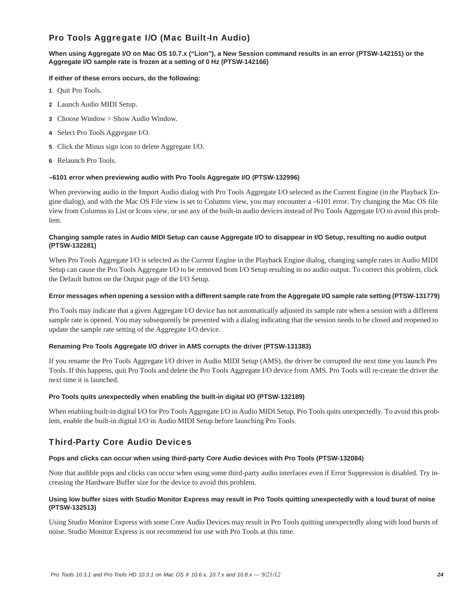## Pro Tools Aggregate I/O (Mac Built-In Audio)

## **When using Aggregate I/O on Mac OS 10.7.x ("Lion"), a New Session command results in an error (PTSW-142151) or the Aggregate I/O sample rate is frozen at a setting of 0 Hz (PTSW-142166)**

## **If either of these errors occurs, do the following:**

- **1** Quit Pro Tools.
- **2** Launch Audio MIDI Setup.
- **3** Choose Window > Show Audio Window.
- **4** Select Pro Tools Aggregate I/O.
- **5** Click the Minus sign icon to delete Aggregate I/O.
- **6** Relaunch Pro Tools.

## **–6101 error when previewing audio with Pro Tools Aggregate I/O (PTSW-132996)**

When previewing audio in the Import Audio dialog with Pro Tools Aggregate I/O selected as the Current Engine (in the Playback Engine dialog), and with the Mac OS File view is set to Columns view, you may encounter a –6101 error. Try changing the Mac OS file view from Columns to List or Icons view, or use any of the built-in audio devices instead of Pro Tools Aggregate I/O to avoid this problem.

## **Changing sample rates in Audio MIDI Setup can cause Aggregate I/O to disappear in I/O Setup, resulting no audio output (PTSW-132281)**

When Pro Tools Aggregate I/O is selected as the Current Engine in the Playback Engine dialog, changing sample rates in Audio MIDI Setup can cause the Pro Tools Aggregate I/O to be removed from I/O Setup resulting in no audio output. To correct this problem, click the Default button on the Output page of the I/O Setup.

## **Error messages when opening a session with a different sample rate from the Aggregate I/O sample rate setting (PTSW-131779)**

Pro Tools may indicate that a given Aggregate I/O device has not automatically adjusted its sample rate when a session with a different sample rate is opened. You may subsequently be presented with a dialog indicating that the session needs to be closed and reopened to update the sample rate setting of the Aggregate I/O device.

## **Renaming Pro Tools Aggregate I/O driver in AMS corrupts the driver (PTSW-131383)**

If you rename the Pro Tools Aggregate I/O driver in Audio MIDI Setup (AMS), the driver be corrupted the next time you launch Pro Tools. If this happens, quit Pro Tools and delete the Pro Tools Aggregate I/O device from AMS. Pro Tools will re-create the driver the next time it is launched.

## **Pro Tools quits unexpectedly when enabling the built-in digital I/O (PTSW-132189)**

When enabling built-in digital I/O for Pro Tools Aggregate I/O in Audio MIDI Setup, Pro Tools quits unexpectedly. To avoid this problem, enable the built-in digital I/O in Audio MIDI Setup before launching Pro Tools.

## Third-Party Core Audio Devices

## **Pops and clicks can occur when using third-party Core Audio devices with Pro Tools (PTSW-132084)**

Note that audible pops and clicks can occur when using some third-party audio interfaces even if Error Suppression is disabled. Try increasing the Hardware Buffer size for the device to avoid this problem.

## **Using low buffer sizes with Studio Monitor Express may result in Pro Tools quitting unexpectedly with a loud burst of noise (PTSW-132513)**

Using Studio Monitor Express with some Core Audio Devices may result in Pro Tools quitting unexpectedly along with loud bursts of noise. Studio Monitor Express is not recommend for use with Pro Tools at this time.